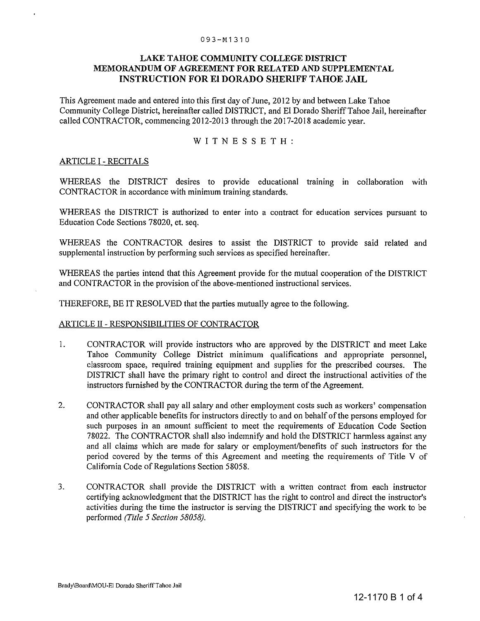#### 093-M1310

### LAKE TAHOE COMMUNITY COLLEGE DISTRICT MEMORANDUM OF AGREEMENT FOR RELATED AND SUPPLEMENTAL INSTRUCTION FOR **El DORADO** SHERIFF TAHOE **JAIL**

This Agreement made and entered into this first day of June, 2012 by and between Lake Tahoe Community College District, hereinafter called DISTRICT, and EI Dorado Sheriff Tahoe Jail, hereinafter called CONTRACTOR, commencing 2012-2013 through the 2017-2018 academic year.

WITNESSETH:

### ARTICLE I - RECITALS

WHEREAS the DISTRICT desires to provide educational training in collaboration with CONTRACTOR in accordance with minimum training standards.

WHEREAS the DISTRICT is authorized to enter into a contract for education services pursuant to Education Code Sections 78020, et. seq.

WHEREAS the CONTRACTOR desires to assist the DISTRICT to provide said related and supplemental instruction by performing such services as specified hereinafter.

WHEREAS the parties intend that this Agreement provide for the mutual cooperation of the DISTRICT and CONTRACTOR in the provision of the above-mentioned instructional services.

THEREFORE, BE IT RESOLVED that the parties mutually agree to the following.

### ARTICLE II - RESPONSIBILITIES OF CONTRACTOR

- I. CONTRACTOR will provide instructors who are approved by the DISTRICT and meet Lake Tahoe Community College District minimum qualifications and appropriate personnel, classroom space, required training equipment and supplies for the prescribed courses. The DISTRICT shall have the primary right to control and direct the instructional activities of the instructors furnished by the CONTRACTOR during the term of the Agreement.
- 2. CONTRACTOR shall pay all salary and other employment costs such as workers' compensation and other applicable benefits for instructors directly to and on behalf of the persons employed for such purposes in an amount sufficient to meet the requirements of Education Code Section 78022. The CONTRACTOR shall also indemnify and hold the DISTRICT harmless against any and all claims which are made for salary or employment/benefits of such instructors for the period covered by the terms of this Agreement and meeting the requirements of Title V of California Code of Regulations Section 58058.
- 3. CONTRACTOR shall provide the DISTRICT with a written contract from each instructor certifying acknowledgment that the DISTRICT has the right to control and direct the instructor's activities during the time the instructor is serving the DISTRICT and specifying the work to be performed *(Title* 5 *Section 58058).*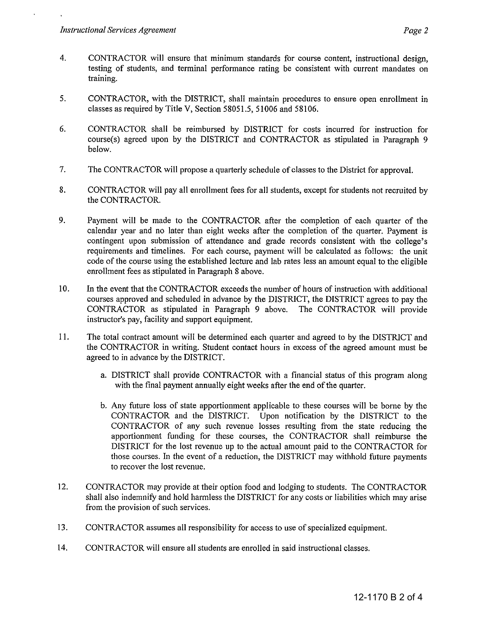- 4. CONTRACTOR will ensure that minimum standards for course content, instructional design, testing of students, and terminal performance rating be consistent with current mandates on training.
- 5. CONTRACTOR, with the DISTRICT, shall maintain procedures to ensure open enrollment in classes as required by Title V, Section 58051.5, 51006 and 58106.
- 6. CONTRACTOR shall be reimbursed by DISTRICT for costs incurred for instruction for course(s) agreed upon by the DISTRICT and CONTRACTOR as stipulated in Paragraph 9 below.
- 7. The CONTRACTOR will propose a quarterly schedule of classes to the District for approval.
- 8. CONTRACTOR will pay all enrollment fees for all students, except for students not recruited by the CONTRACTOR.
- 9. Payment will be made to the CONTRACTOR after the completion of each quarter of the calendar year and no later than eight weeks after the completion of the quarter. Payment is contingent upon submission of attendance and grade records consistent with the college's requirements and timelines. For each course, payment will be calculated as follows: the unit code of the course using the established lecture and lab rates less an amount equal to the eligible enrollment fees as stipulated in Paragraph 8 above.
- 10. In the event that the CONTRACTOR exceeds the number of hours of instruction with additional courses approved and scheduled in advance by the DISTRICT, the DISTRICT agrees to pay the CONTRACTOR as stipulated in Paragraph 9 above. The CONTRACTOR will provide instructor's pay, facility and support equipment.
- **II.** The total contract amount will be determined each quarter and agreed to by the DISTRICT and the CONTRACTOR in writing. Student contact hours in excess of the agreed amount must be agreed to in advance by the DISTRICT.
	- a. DISTRICT shall provide CONTRACTOR with a financial status of this program along with the final payment annually eight weeks after the end of the quarter.
	- b. Any future loss of state apportionment applicable to these courses will be borne by the CONTRACTOR and the DISTRICT. Upon notification by the DISTRICT to the CONTRACTOR of any such revenue losses resulting from the state reducing the apportionment funding for these courses, the CONTRACTOR shall reimburse the DISTRICT for the lost revenue up to the actual amount paid to the CONTRACTOR for those courses. In the event of a reduction, the DISTRICT may withhold future payments to recover the lost revenue.
- 12. CONTRACTOR may provide at their option food and lodging to students. The CONTRACTOR shall also indemnify and hold harmless the DISTRICT for any costs or liabilities which may arise from the provision of such services.
- 13. CONTRACTOR assumes all responsibility for access to use of specialized equipment.
- 14. CONTRACTOR will ensure all students are enrolled in said instructional classes.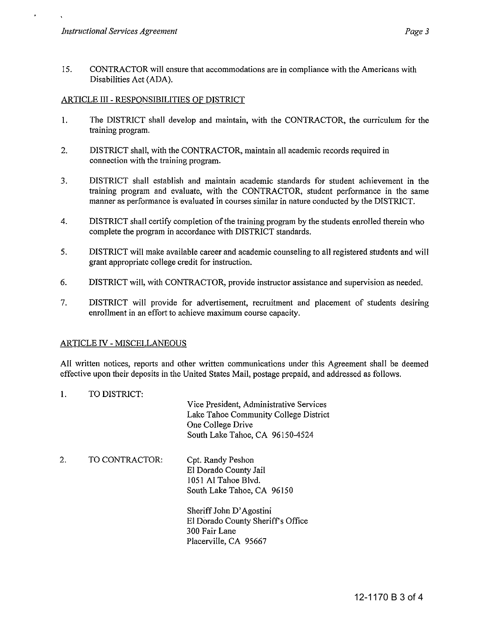15. CONTRACTOR will ensure that accommodations are **in** compliance with the Americans with Disabilities Act (ADA).

## ARTICLE III - RESPONSIBILITIES OF DISTRICT

- 1. The DISTRICT shall develop and maintain, with the CONTRACTOR, the curriculum for the training program.
- 2. DISTRICT shall, with the CONTRACTOR, maintain all academic records required in connection with the training program.
- 3. DISTRICT shall establish and maintain academic standards for student achievement in the training program and evaluate, with the CONTRACTOR, student performance in the same manner as performance is evaluated **in** courses similar **in** nature conducted by the DISTRICT.
- 4. DISTRICT shall certify completion of the training program by the students enrolled therein who complete the program **in** accordance with DISTRICT standards.
- 5. DISTRICT will make available career and academic counseling to all registered students and will grant appropriate college credit for instruction.
- 6. DISTRICT will, with CONTRACTOR, provide instructor assistance and supervision as needed.
- 7. DISTRICT will provide for advertisement, recruitment and placement of students desiring enrollment **in** an effort to achieve maximum course capacity.

# ARTICLE IV - MISCELLANEOUS

All written notices, reports and other written communications under this Agreement shall be deemed effective upon their deposits in the United States Mail, postage prepaid, and addressed as follows.

1. TO DISTRICT:

Vice President, Administrative Services Lake Tahoe Community College District One College Drive South Lake Tahoe, CA 96150-4524

2. TO CONTRACTOR: Cpt. Randy Peshon EI Dorado County Jail 1051 Al Tahoe Blvd. South Lake Tahoe, CA 96150

> Sheriff John D' Agostini EI Dorado County Sheriffs Office 300 Fair Lane Placerville, CA 95667